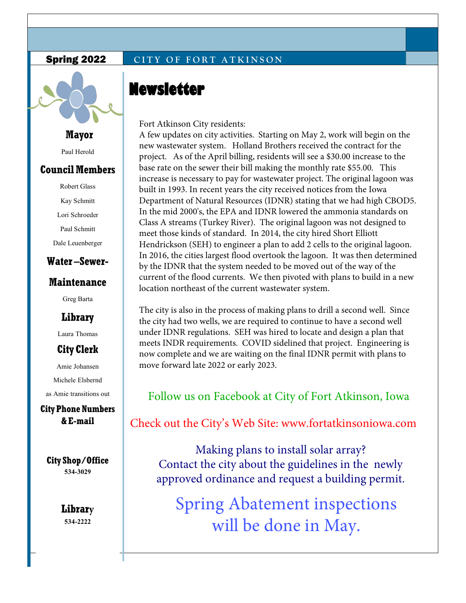#### **Spring 2022 CITY OF FORT ATKINSON**



**Mayor**

Paul Herold

### **Council Members**

Robert Glass Kay Schmitt Lori Schroeder Paul Schmitt Dale Leuenberger **Water –Sewer-**

## **Maintenance**

Greg Barta

**Library** 

Laura Thomas

## **City Clerk**

Amie Johansen Michele Elsbernd as Amie transitions out

**City Phone Numbers & E-mail** 

**City Shop/Office 534-3029**

> **Library 534-2222**

Fort Atkinson City residents:

**Newsletter** 

A few updates on city activities. Starting on May 2, work will begin on the new wastewater system. Holland Brothers received the contract for the [project. As of the April billing, residents will see a \\$30.00 increase to the](https://www.fortatkinsoniowa.com/wp-content/uploads/2020/03/Taking-Care-of-your-Behavioral-Health-during-an-infectious-disease-outrbeak-2.pdf) base rate on the sewer their bill making the monthly rate \$55.00. This increase is ne[cessary to pay for wastewater project. The](https://www.fortatkinsoniowa.com/wp-content/uploads/2020/03/Taking-Care-of-your-Behavioral-Health-during-an-infectious-disease-outrbeak-2.pdf) original lagoon was built in 1993. In recent years the city received notices from the Iowa [Department of Natural Resources \(IDNR\) stating that we had hi](https://www.fortatkinsoniowa.com/wp-content/uploads/2020/03/PREPWISE_COVID-19_Older-Adults.pdf)gh CBOD5. In the mid 2000's, the EPA and IDNR lowered the ammonia standards on Class A st[reams \(Tu](https://www.fortatkinsoniowa.com/wp-content/uploads/2020/03/PREPWISE_COVID-19_Older-Adults.pdf)rkey River). The original lagoon was not designed to meet those kinds of standard. In 2014, the city hired Short Elliott [Hendrickson \(SEH\) to engineer a plan to add 2 cells to the origin](https://www.fortatkinsoniowa.com/wp-content/uploads/2020/03/IDPH-Coronavirus.pdf)al lagoon. In 2016, the cities largest flood overtook the lagoon. It was then determined [by the IDNR that the system needed to be moved out of the way of the](https://www.fortatkinsoniowa.com/wp-content/uploads/2020/03/IDPH-Coronavirus.pdf)  [current of the flood currents. We then pivoted with pl](https://www.fortatkinsoniowa.com/wp-content/uploads/2020/03/Tips-for-Survivors-of-a-Disaster-or-Other-Traumatic-Event.pdf)ans to build in a new location northeast of the current wastewater system.

The city is also in the process of making plans to drill a second well. Since the city had two wells, we are required to continue to have a second well under IDNR regulations. SEH was hired to locate and design a plan that meets INDR requirements. COVID sidelined that project. Engineering is now complete and we are waiting on the final IDNR permit with plans to move forward late 2022 or early 2023.

Follow us on Facebook at City of Fort Atkinson, Iowa

Check out the City's Web Site: www.fortatkinsoniowa.com

Making plans to install solar array? Contact the city about the guidelines in the newly approved ordinance and request a building permit.

Spring Abatement inspections will be done in May.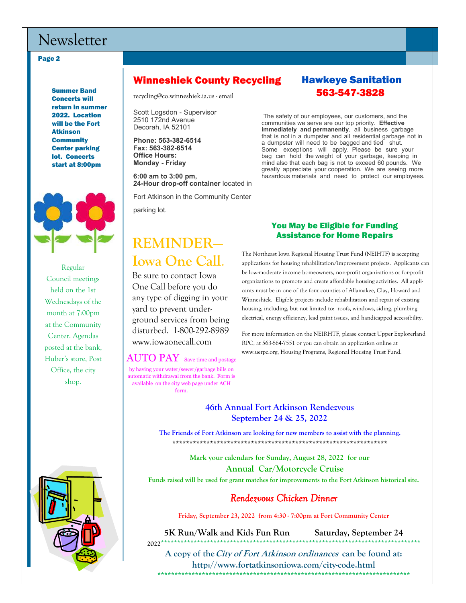## Newsletter

Page 2

Summer Band Concerts will return in summer 2022. Location will be the Fort Atkinson **Community** Center parking lot. Concerts start at 8:00pm



Regular Council meetings held on the 1st Wednesdays of the month at 7:00pm at the Community Center. Agendas posted at the bank, Huber's store, Post Office, the city shop.



#### Winneshiek County Recycling Hawkeye Sanitation

recycling@co.winneshiek.ia.us - email

Scott Logsdon - Supervisor 2510 172nd Avenue Decorah, IA 52101

**Phone: 563-382-6514 Fax: 563-382-6514 Office Hours: Monday - Friday**

**6:00 am to 3:00 pm, 24-Hour drop-off container** located in

Fort Atkinson in the Community Center parking lot.

# **REMINDER— Iowa One Call**.

Be sure to contact Iowa One Call before you do any type of digging in your yard to prevent underground services from being disturbed. 1-800-292-8989 www.iowaonecall.com

#### $\mathrm{AUTO~PAY} \;$  Save time and postage

by having your water/sewer/garbage bills on automatic withdrawal from the bank. Form is available on the city web page under ACH form.

# 563-547-3828

The safety of our employees, our customers, and the communities we serve are our top priority. **Effective immediately and permanently**, all business garbage that is not in a dumpster and all residential garbage not in a dumpster will need to be bagged and tied shut. Some exceptions will apply. Please be sure your bag can hold the weight of your garbage, keeping in mind also that each bag is not to exceed 60 pounds. We greatly appreciate your cooperation. We are seeing more hazardous materials and need to protect our employees.

#### You May be Eligible for Funding Assistance for Home Repairs

The Northeast Iowa Regional Housing Trust Fund (NEIHTF) is accepting applications for housing rehabilitation/improvement projects. Applicants can be low-moderate income homeowners, non-profit organizations or for-profit organizations to promote and create affordable housing activities. All applicants must be in one of the four counties of Allamakee, Clay, Howard and Winneshiek. Eligible projects include rehabilitation and repair of existing housing, including, but not limited to: roofs, windows, siding, plumbing electrical, energy efficiency, lead paint issues, and handicapped accessibility.

For more information on the NEIRHTF, please contact Upper Explorerland RPC, at 563-864-7551 or you can obtain an application online at www.uerpc.org, Housing Programs, Regional Housing Trust Fund.

## **46th Annual Fort Atkinson Rendezvous September 24 & 25, 2022**

**The Friends of Fort Atkinson are looking for new members to assist with the planning. \*\*\*\*\*\*\*\*\*\*\*\*\*\*\*\*\*\*\*\*\*\*\*\*\*\*\*\*\*\*\*\*\*\*\*\*\*\*\*\*\*\*\*\*\*\*\*\*\*\*\*\*\*\*\*\*\*\*\*\*\*\*\*** 

> **Mark your calendars for Sunday, August 28, 2022 for our Annual Car/Motorcycle Cruise**

**Funds raised will be used for grant matches for improvements to the Fort Atkinson historical site.** 

#### *Rendezvous Chicken Dinner*

**Friday, September 23, 2022 from 4:30 - 7:00pm at Fort Community Center**

**5K Run/Walk and Kids Fun Run Saturday, September 24 2022**\*\*\*\*\*\*\*\*\*\*\*\*\*\*\*\*\*\*\*\*\*\*\*\*\*\*\*\*\*\*\*\*\*\*\*\*\*\*\*\*\*\*\*\*\*\*\*\*\*\*\*\*\*\*\*\*\*\*\*\*\*\*\*\*\*\*\*\*\*\*\*\*\*\*\*\*\*\*\*

**A copy of the City of Fort Atkinson ordinances can be found at: http://www.fortatkinsoniowa.com/city-code.html \*\*\*\*\*\*\*\*\*\*\*\*\*\*\*\*\*\*\*\*\*\*\*\*\*\*\*\*\*\*\*\*\*\*\*\*\*\*\*\*\*\*\*\*\*\*\*\*\*\*\*\*\*\*\*\*\*\*\*\*\*\*\*\*\*\*\*\*\*\*\*\*\*\***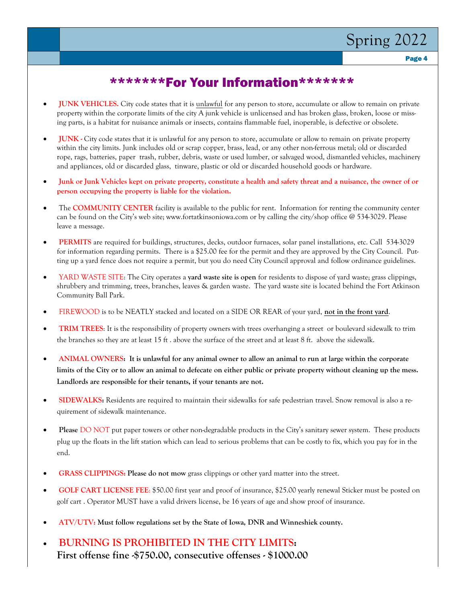# Spring 2022

Page 4

## \*\*\*\*\*\*\*For Your Information\*\*\*\*\*\*\*

- **JUNK VEHICLES.** City code states that it is unlawful for any person to store, accumulate or allow to remain on private property within the corporate limits of the city A junk vehicle is unlicensed and has broken glass, broken, loose or missing parts, is a habitat for nuisance animals or insects, contains flammable fuel, inoperable, is defective or obsolete.
- **JUNK** City code states that it is unlawful for any person to store, accumulate or allow to remain on private property within the city limits. Junk includes old or scrap copper, brass, lead, or any other non-ferrous metal; old or discarded rope, rags, batteries, paper trash, rubber, debris, waste or used lumber, or salvaged wood, dismantled vehicles, machinery and appliances, old or discarded glass, tinware, plastic or old or discarded household goods or hardware.
- **Junk or Junk Vehicles kept on private property, constitute a health and safety threat and a nuisance, the owner of or person occupying the property is liable for the violation.**
- The **COMMUNITY CENTER** facility is available to the public for rent. Information for renting the community center can be found on the City's web site; www.fortatkinsoniowa.com or by calling the city/shop office @ 534-3029. Please leave a message.
- **PERMITS** are required for buildings, structures, decks, outdoor furnaces, solar panel installations, etc. Call 534-3029 for information regarding permits. There is a \$25.00 fee for the permit and they are approved by the City Council. Putting up a yard fence does not require a permit, but you do need City Council approval and follow ordinance guidelines.
- YARD WASTE SITE: The City operates a **yard waste site is open** for residents to dispose of yard waste; grass clippings, shrubbery and trimming, trees, branches, leaves & garden waste. The yard waste site is located behind the Fort Atkinson Community Ball Park.
- FIREWOOD is to be NEATLY stacked and located on a SIDE OR REAR of your yard, **not in the front yard**.
- **TRIM TREES**: It is the responsibility of property owners with trees overhanging a street or boulevard sidewalk to trim the branches so they are at least 15 ft . above the surface of the street and at least 8 ft. above the sidewalk.
- **ANIMAL OWNERS: It is unlawful for any animal owner to allow an animal to run at large within the corporate limits of the City or to allow an animal to defecate on either public or private property without cleaning up the mess. Landlords are responsible for their tenants, if your tenants are not.**
- **SIDEWALKS:** Residents are required to maintain their sidewalks for safe pedestrian travel. Snow removal is also a requirement of sidewalk maintenance.
- **Please** DO NOT put paper towers or other non-degradable products in the City's sanitary sewer system. These products plug up the floats in the lift station which can lead to serious problems that can be costly to fix, which you pay for in the end.
- **GRASS CLIPPINGS: Please do not mow** grass clippings or other yard matter into the street.
- **GOLF CART LICENSE FEE**: \$50.00 first year and proof of insurance, \$25.00 yearly renewal Sticker must be posted on golf cart . Operator MUST have a valid drivers license, be 16 years of age and show proof of insurance.
- **ATV/UTV: Must follow regulations set by the State of Iowa, DNR and Winneshiek county.**
- **BURNING IS PROHIBITED IN THE CITY LIMITS: First offense fine -\$750.00, consecutive offenses - \$1000.00**